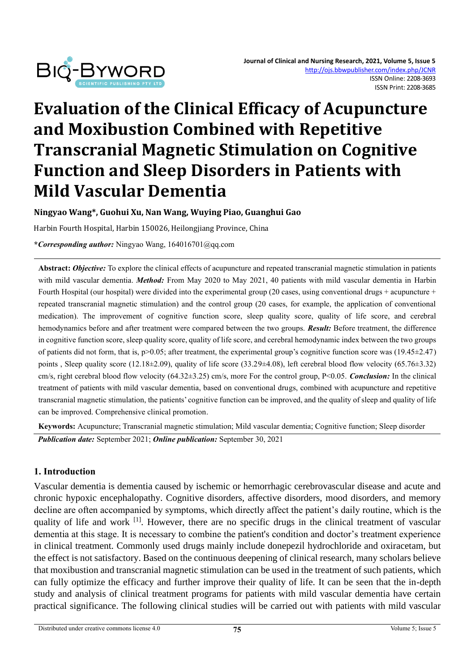

# **Evaluation of the Clinical Efficacy of Acupuncture and Moxibustion Combined with Repetitive Transcranial Magnetic Stimulation on Cognitive Function and Sleep Disorders in Patients with Mild Vascular Dementia**

**Ningyao Wang\*, Guohui Xu, Nan Wang, Wuying Piao, Guanghui Gao**

Harbin Fourth Hospital, Harbin 150026, Heilongjiang Province, China

**\****Corresponding author:* Ningyao Wang, 164016701@qq.com

**Abstract:** *Objective:* To explore the clinical effects of acupuncture and repeated transcranial magnetic stimulation in patients with mild vascular dementia. *Method:* From May 2020 to May 2021, 40 patients with mild vascular dementia in Harbin Fourth Hospital (our hospital) were divided into the experimental group (20 cases, using conventional drugs + acupuncture + repeated transcranial magnetic stimulation) and the control group (20 cases, for example, the application of conventional medication). The improvement of cognitive function score, sleep quality score, quality of life score, and cerebral hemodynamics before and after treatment were compared between the two groups. *Result:* Before treatment, the difference in cognitive function score, sleep quality score, quality of life score, and cerebral hemodynamic index between the two groups of patients did not form, that is, p>0.05; after treatment, the experimental group's cognitive function score was (19.45±2.47) points, Sleep quality score (12.18±2.09), quality of life score (33.29±4.08), left cerebral blood flow velocity (65.76±3.32) cm/s, right cerebral blood flow velocity (64.32±3.25) cm/s, more For the control group, P<0.05. *Conclusion:* In the clinical treatment of patients with mild vascular dementia, based on conventional drugs, combined with acupuncture and repetitive transcranial magnetic stimulation, the patients' cognitive function can be improved, and the quality of sleep and quality of life can be improved. Comprehensive clinical promotion.

**Keywords:** Acupuncture; Transcranial magnetic stimulation; Mild vascular dementia; Cognitive function; Sleep disorder *Publication date:* September 2021; *Online publication:* September 30, 2021

#### **1. Introduction**

Vascular dementia is dementia caused by ischemic or hemorrhagic cerebrovascular disease and acute and chronic hypoxic encephalopathy. Cognitive disorders, affective disorders, mood disorders, and memory decline are often accompanied by symptoms, which directly affect the patient's daily routine, which is the quality of life and work <sup>[1]</sup>. However, there are no specific drugs in the clinical treatment of vascular dementia at this stage. It is necessary to combine the patient's condition and doctor's treatment experience in clinical treatment. Commonly used drugs mainly include donepezil hydrochloride and oxiracetam, but the effect is not satisfactory. Based on the continuous deepening of clinical research, many scholars believe that moxibustion and transcranial magnetic stimulation can be used in the treatment of such patients, which can fully optimize the efficacy and further improve their quality of life. It can be seen that the in-depth study and analysis of clinical treatment programs for patients with mild vascular dementia have certain practical significance. The following clinical studies will be carried out with patients with mild vascular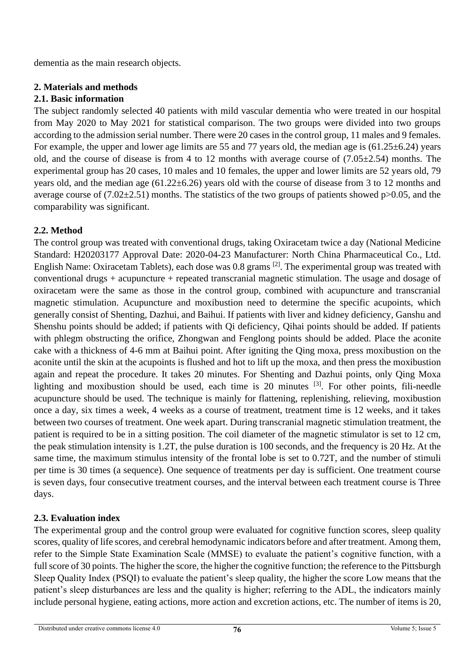dementia as the main research objects.

## **2. Materials and methods**

# **2.1. Basic information**

The subject randomly selected 40 patients with mild vascular dementia who were treated in our hospital from May 2020 to May 2021 for statistical comparison. The two groups were divided into two groups according to the admission serial number. There were 20 cases in the control group, 11 males and 9 females. For example, the upper and lower age limits are 55 and 77 years old, the median age is (61.25±6.24) years old, and the course of disease is from 4 to 12 months with average course of  $(7.05\pm2.54)$  months. The experimental group has 20 cases, 10 males and 10 females, the upper and lower limits are 52 years old, 79 years old, and the median age (61.22±6.26) years old with the course of disease from 3 to 12 months and average course of  $(7.02\pm2.51)$  months. The statistics of the two groups of patients showed p $>0.05$ , and the comparability was significant.

# **2.2. Method**

The control group was treated with conventional drugs, taking Oxiracetam twice a day (National Medicine Standard: H20203177 Approval Date: 2020-04-23 Manufacturer: North China Pharmaceutical Co., Ltd. English Name: Oxiracetam Tablets), each dose was 0.8 grams [2]. The experimental group was treated with conventional drugs + acupuncture + repeated transcranial magnetic stimulation. The usage and dosage of oxiracetam were the same as those in the control group, combined with acupuncture and transcranial magnetic stimulation. Acupuncture and moxibustion need to determine the specific acupoints, which generally consist of Shenting, Dazhui, and Baihui. If patients with liver and kidney deficiency, Ganshu and Shenshu points should be added; if patients with Qi deficiency, Qihai points should be added. If patients with phlegm obstructing the orifice, Zhongwan and Fenglong points should be added. Place the aconite cake with a thickness of 4-6 mm at Baihui point. After igniting the Qing moxa, press moxibustion on the aconite until the skin at the acupoints is flushed and hot to lift up the moxa, and then press the moxibustion again and repeat the procedure. It takes 20 minutes. For Shenting and Dazhui points, only Qing Moxa lighting and moxibustion should be used, each time is 20 minutes  $[3]$ . For other points, fili-needle acupuncture should be used. The technique is mainly for flattening, replenishing, relieving, moxibustion once a day, six times a week, 4 weeks as a course of treatment, treatment time is 12 weeks, and it takes between two courses of treatment. One week apart. During transcranial magnetic stimulation treatment, the patient is required to be in a sitting position. The coil diameter of the magnetic stimulator is set to 12 cm, the peak stimulation intensity is 1.2T, the pulse duration is 100 seconds, and the frequency is 20 Hz. At the same time, the maximum stimulus intensity of the frontal lobe is set to 0.72T, and the number of stimuli per time is 30 times (a sequence). One sequence of treatments per day is sufficient. One treatment course is seven days, four consecutive treatment courses, and the interval between each treatment course is Three days.

# **2.3. Evaluation index**

The experimental group and the control group were evaluated for cognitive function scores, sleep quality scores, quality of life scores, and cerebral hemodynamic indicators before and after treatment. Among them, refer to the Simple State Examination Scale (MMSE) to evaluate the patient's cognitive function, with a full score of 30 points. The higher the score, the higher the cognitive function; the reference to the Pittsburgh Sleep Quality Index (PSQI) to evaluate the patient's sleep quality, the higher the score Low means that the patient's sleep disturbances are less and the quality is higher; referring to the ADL, the indicators mainly include personal hygiene, eating actions, more action and excretion actions, etc. The number of items is 20,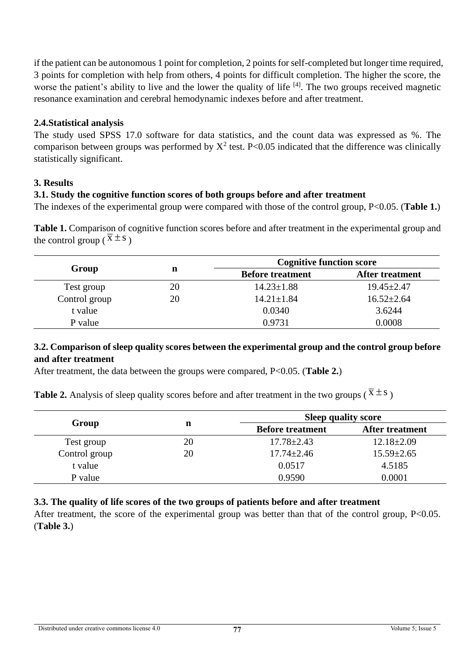if the patient can be autonomous 1 point for completion, 2 points for self-completed but longer time required, 3 points for completion with help from others, 4 points for difficult completion. The higher the score, the worse the patient's ability to live and the lower the quality of life <sup>[4]</sup>. The two groups received magnetic resonance examination and cerebral hemodynamic indexes before and after treatment.

## **2.4.Statistical analysis**

The study used SPSS 17.0 software for data statistics, and the count data was expressed as %. The comparison between groups was performed by  $X^2$  test. P<0.05 indicated that the difference was clinically statistically significant.

# **3. Results**

# **3.1. Study the cognitive function scores of both groups before and after treatment**

The indexes of the experimental group were compared with those of the control group, P<0.05. (**Table 1.**)

**Table 1.** Comparison of cognitive function scores before and after treatment in the experimental group and the control group ( $\overline{x} \pm s$ )

|               | n  | <b>Cognitive function score</b> |                        |  |
|---------------|----|---------------------------------|------------------------|--|
| Group         |    | <b>Before treatment</b>         | <b>After treatment</b> |  |
| Test group    | 20 | $14.23 \pm 1.88$                | $19.45 \pm 2.47$       |  |
| Control group | 20 | $14.21 \pm 1.84$                | $16.52 \pm 2.64$       |  |
| t value       |    | 0.0340                          | 3.6244                 |  |
| P value       |    | 0.9731                          | 0.0008                 |  |

#### **3.2. Comparison of sleep quality scores between the experimental group and the control group before and after treatment**

After treatment, the data between the groups were compared, P<0.05. (**Table 2.**)

**Table 2.** Analysis of sleep quality scores before and after treatment in the two groups ( $\bar{x} \pm s$ )

|               | n  | <b>Sleep quality score</b> |                        |  |
|---------------|----|----------------------------|------------------------|--|
| Group         |    | <b>Before treatment</b>    | <b>After treatment</b> |  |
| Test group    | 20 | $17.78 \pm 2.43$           | $12.18 \pm 2.09$       |  |
| Control group | 20 | $17.74 \pm 2.46$           | $15.59 \pm 2.65$       |  |
| t value       |    | 0.0517                     | 4.5185                 |  |
| P value       |    | 0.9590                     | 0.0001                 |  |

#### **3.3. The quality of life scores of the two groups of patients before and after treatment**

After treatment, the score of the experimental group was better than that of the control group, P<0.05. (**Table 3.**)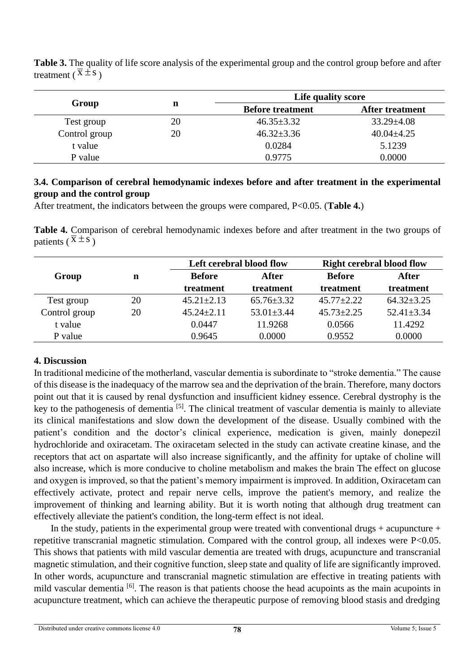|               |    | Life quality score      |                        |  |
|---------------|----|-------------------------|------------------------|--|
| Group         |    | <b>Before treatment</b> | <b>After treatment</b> |  |
| Test group    | 20 | $46.35 \pm 3.32$        | $33.29 \pm 4.08$       |  |
| Control group | 20 | $46.32 \pm 3.36$        | $40.04 \pm 4.25$       |  |
| t value       |    | 0.0284                  | 5.1239                 |  |
| P value       |    | 0.9775                  | 0.0000                 |  |

**Table 3.** The quality of life score analysis of the experimental group and the control group before and after treatment ( $\overline{x} \pm s$ )

#### **3.4. Comparison of cerebral hemodynamic indexes before and after treatment in the experimental group and the control group**

After treatment, the indicators between the groups were compared, P<0.05. (**Table 4.**)

**Table 4.** Comparison of cerebral hemodynamic indexes before and after treatment in the two groups of patients ( $\overline{x} \pm s$ )

|               |    | Left cerebral blood flow |                  | <b>Right cerebral blood flow</b> |                  |
|---------------|----|--------------------------|------------------|----------------------------------|------------------|
| Group         | n  | <b>Before</b>            | After            | <b>Before</b>                    | After            |
|               |    | treatment                | treatment        | treatment                        | treatment        |
| Test group    | 20 | $45.21 \pm 2.13$         | $65.76 \pm 3.32$ | $45.77 \pm 2.22$                 | $64.32 \pm 3.25$ |
| Control group | 20 | $45.24 \pm 2.11$         | $53.01 \pm 3.44$ | $45.73 \pm 2.25$                 | $52.41 \pm 3.34$ |
| t value       |    | 0.0447                   | 11.9268          | 0.0566                           | 11.4292          |
| P value       |    | 0.9645                   | 0.0000           | 0.9552                           | 0.0000           |

#### **4. Discussion**

In traditional medicine of the motherland, vascular dementia is subordinate to "stroke dementia." The cause of this disease is the inadequacy of the marrow sea and the deprivation of the brain. Therefore, many doctors point out that it is caused by renal dysfunction and insufficient kidney essence. Cerebral dystrophy is the key to the pathogenesis of dementia [5]. The clinical treatment of vascular dementia is mainly to alleviate its clinical manifestations and slow down the development of the disease. Usually combined with the patient's condition and the doctor's clinical experience, medication is given, mainly donepezil hydrochloride and oxiracetam. The oxiracetam selected in the study can activate creatine kinase, and the receptors that act on aspartate will also increase significantly, and the affinity for uptake of choline will also increase, which is more conducive to choline metabolism and makes the brain The effect on glucose and oxygen is improved, so that the patient's memory impairment is improved. In addition, Oxiracetam can effectively activate, protect and repair nerve cells, improve the patient's memory, and realize the improvement of thinking and learning ability. But it is worth noting that although drug treatment can effectively alleviate the patient's condition, the long-term effect is not ideal.

In the study, patients in the experimental group were treated with conventional drugs + acupuncture + repetitive transcranial magnetic stimulation. Compared with the control group, all indexes were P<0.05. This shows that patients with mild vascular dementia are treated with drugs, acupuncture and transcranial magnetic stimulation, and their cognitive function, sleep state and quality of life are significantly improved. In other words, acupuncture and transcranial magnetic stimulation are effective in treating patients with mild vascular dementia <sup>[6]</sup>. The reason is that patients choose the head acupoints as the main acupoints in acupuncture treatment, which can achieve the therapeutic purpose of removing blood stasis and dredging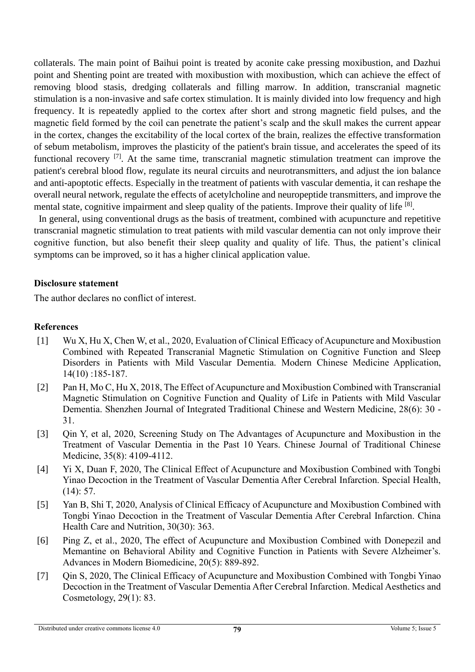collaterals. The main point of Baihui point is treated by aconite cake pressing moxibustion, and Dazhui point and Shenting point are treated with moxibustion with moxibustion, which can achieve the effect of removing blood stasis, dredging collaterals and filling marrow. In addition, transcranial magnetic stimulation is a non-invasive and safe cortex stimulation. It is mainly divided into low frequency and high frequency. It is repeatedly applied to the cortex after short and strong magnetic field pulses, and the magnetic field formed by the coil can penetrate the patient's scalp and the skull makes the current appear in the cortex, changes the excitability of the local cortex of the brain, realizes the effective transformation of sebum metabolism, improves the plasticity of the patient's brain tissue, and accelerates the speed of its functional recovery [7]. At the same time, transcranial magnetic stimulation treatment can improve the patient's cerebral blood flow, regulate its neural circuits and neurotransmitters, and adjust the ion balance and anti-apoptotic effects. Especially in the treatment of patients with vascular dementia, it can reshape the overall neural network, regulate the effects of acetylcholine and neuropeptide transmitters, and improve the mental state, cognitive impairment and sleep quality of the patients. Improve their quality of life <sup>[8]</sup>.

In general, using conventional drugs as the basis of treatment, combined with acupuncture and repetitive transcranial magnetic stimulation to treat patients with mild vascular dementia can not only improve their cognitive function, but also benefit their sleep quality and quality of life. Thus, the patient's clinical symptoms can be improved, so it has a higher clinical application value.

#### **Disclosure statement**

The author declares no conflict of interest.

#### **References**

- [1] Wu X, Hu X, Chen W, et al., 2020, Evaluation of Clinical Efficacy of Acupuncture and Moxibustion Combined with Repeated Transcranial Magnetic Stimulation on Cognitive Function and Sleep Disorders in Patients with Mild Vascular Dementia. Modern Chinese Medicine Application, 14(10) :185-187.
- [2] Pan H, Mo C, Hu X, 2018, The Effect of Acupuncture and Moxibustion Combined with Transcranial Magnetic Stimulation on Cognitive Function and Quality of Life in Patients with Mild Vascular Dementia. Shenzhen Journal of Integrated Traditional Chinese and Western Medicine, 28(6): 30 - 31.
- [3] Qin Y, et al, 2020, Screening Study on The Advantages of Acupuncture and Moxibustion in the Treatment of Vascular Dementia in the Past 10 Years. Chinese Journal of Traditional Chinese Medicine, 35(8): 4109-4112.
- [4] Yi X, Duan F, 2020, The Clinical Effect of Acupuncture and Moxibustion Combined with Tongbi Yinao Decoction in the Treatment of Vascular Dementia After Cerebral Infarction. Special Health, (14): 57.
- [5] Yan B, Shi T, 2020, Analysis of Clinical Efficacy of Acupuncture and Moxibustion Combined with Tongbi Yinao Decoction in the Treatment of Vascular Dementia After Cerebral Infarction. China Health Care and Nutrition, 30(30): 363.
- [6] Ping Z, et al., 2020, The effect of Acupuncture and Moxibustion Combined with Donepezil and Memantine on Behavioral Ability and Cognitive Function in Patients with Severe Alzheimer's. Advances in Modern Biomedicine, 20(5): 889-892.
- [7] Qin S, 2020, The Clinical Efficacy of Acupuncture and Moxibustion Combined with Tongbi Yinao Decoction in the Treatment of Vascular Dementia After Cerebral Infarction. Medical Aesthetics and Cosmetology, 29(1): 83.